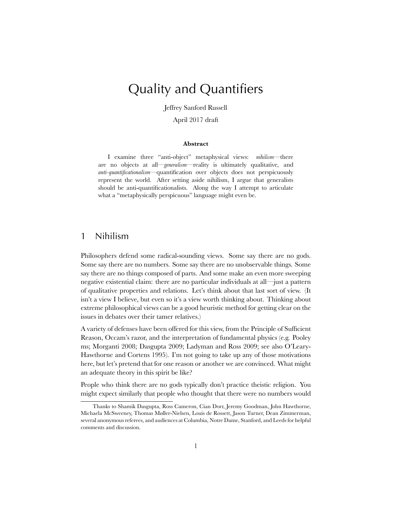# Quality and Quantifiers

Jeffrey Sanford Russell

April 2017 draft

#### **Abstract**

I examine three "anti-object" metaphysical views: *nihilism*—there are no objects at all—*generalism*—reality is ultimately qualitative, and *anti-quantificationalism*—quantification over objects does not perspicuously represent the world. After setting aside nihilism, I argue that generalists should be anti-quantificationalists. Along the way I attempt to articulate what a "metaphysically perspicuous" language might even be.

## 1 Nihilism

Philosophers defend some radical-sounding views. Some say there are no gods. Some say there are no numbers. Some say there are no unobservable things. Some say there are no things composed of parts. And some make an even more sweeping negative existential claim: there are no particular individuals at all—just a pattern of qualitative properties and relations. Let's think about that last sort of view. (It isn't a view I believe, but even so it's a view worth thinking about. Thinking about extreme philosophical views can be a good heuristic method for getting clear on the issues in debates over their tamer relatives.)

A variety of defenses have been offered for this view, from the Principle of Sufficient Reason, Occam's razor, and the interpretation of fundamental physics (e.g. Pooley ms; Morganti 2008; Dasgupta 2009; Ladyman and Ross 2009; see also O'Leary-Hawthorne and Cortens 1995). I'm not going to take up any of those motivations here, but let's pretend that for one reason or another we are convinced. What might an adequate theory in this spirit be like?

People who think there are no gods typically don't practice theistic religion. You might expect similarly that people who thought that there were no numbers would

Thanks to Shamik Dasgupta, Ross Cameron, Cian Dorr, Jeremy Goodman, John Hawthorne, Michaela McSweeney, Thomas Møller-Nielsen, Louis de Rossett, Jason Turner, Dean Zimmerman, several anonymous referees, and audiences at Columbia, Notre Dame, Stanford, and Leeds for helpful comments and discussion.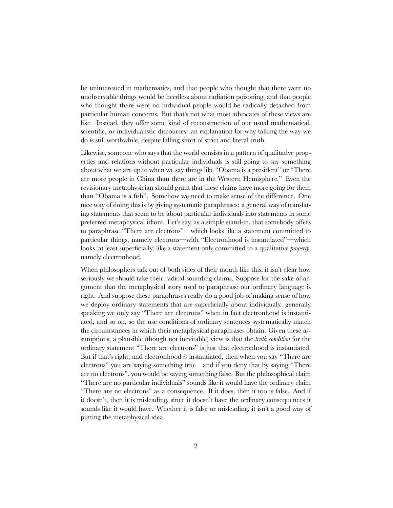be uninterested in mathematics, and that people who thought that there were no unobservable things would be heedless about radiation poisoning, and that people who thought there were no individual people would be radically detached from particular human concerns. But that's not what most advocates of these views are like. Instead, they offer some kind of reconstruction of our usual mathematical, scientific, or individualistic discourses: an explanation for why talking the way we do is still worthwhile, despite falling short of strict and literal truth.

Likewise, someone who says that the world consists in a pattern of qualitative properties and relations without particular individuals is still going to say something about what we are up to when we say things like "Obama is a president" or "There are more people in China than there are in the Western Hemisphere." Even the revisionary metaphysician should grant that these claims have more going for them than "Obama is a fish". Somehow we need to make sense of the difference. One nice way of doing this is by giving systematic paraphrases: a general way of translating statements that seem to be about particular individuals into statements in some preferred metaphysical idiom. Let's say, as a simple stand-in, that somebody offers to paraphrase "There are electrons"—which looks like a statement committed to particular things, namely electrons—with "Electronhood is instantiated"—which looks (at least superficially) like a statement only committed to a qualitative *property*, namely electronhood.

When philosophers talk out of both sides of their mouth like this, it isn't clear how seriously we should take their radical-sounding claims. Suppose for the sake of argument that the metaphysical story used to paraphrase our ordinary language is right. And suppose these paraphrases really do a good job of making sense of how we deploy ordinary statements that are superficially about individuals: generally speaking we only say "There are electrons" when in fact electronhood is instantiated, and so on, so the use conditions of ordinary sentences systematically match the circumstances in which their metaphysical paraphrases obtain. Given these assumptions, a plausible (though not inevitable) view is that the *truth condition* for the ordinary statement "There are electrons" is just that electronhood is instantiated. But if that's right, and electronhood *is* instantiated, then when you say "There are electrons" you are saying something true—and if you deny that by saying "There are no electrons", you would be saying something false. But the philosophical claim "There are no particular individuals" sounds like it would have the ordinary claim "There are no electrons" as a consequence. If it does, then it too is false. And if it doesn't, then it is misleading, since it doesn't have the ordinary consequences it sounds like it would have. Whether it is false or misleading, it isn't a good way of putting the metaphysical idea.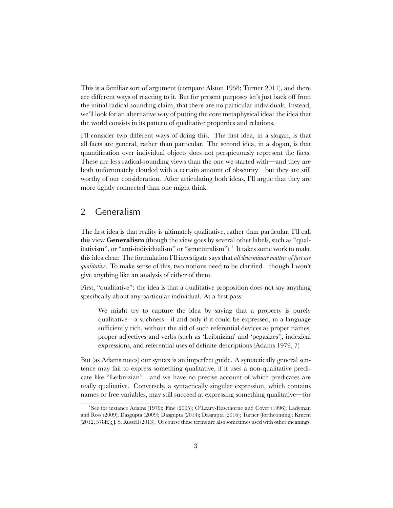This is a familiar sort of argument (compare Alston 1958; Turner 2011), and there are different ways of reacting to it. But for present purposes let's just back off from the initial radical-sounding claim, that there are no particular individuals. Instead, we'll look for an alternative way of putting the core metaphysical idea: the idea that the world consists in its pattern of qualitative properties and relations.

I'll consider two different ways of doing this. The first idea, in a slogan, is that all facts are general, rather than particular. The second idea, in a slogan, is that quantification over individual objects does not perspicuously represent the facts. These are less radical-sounding views than the one we started with—and they are both unfortunately clouded with a certain amount of obscurity—but they are still worthy of our consideration. After articulating both ideas, I'll argue that they are more tightly connected than one might think.

# <span id="page-2-1"></span>2 Generalism

The first idea is that reality is ultimately qualitative, rather than particular. I'll call this view **Generalism** (though the view goes by several other labels, such as "qualitativism", or "anti-individualism" or "structuralism"). $^{\rm l}$  It takes some work to make this idea clear. The formulation I'll investigate says that *all determinate matters of fact are qualitative*. To make sense of this, two notions need to be clarified—though I won't give anything like an analysis of either of them.

First, "qualitative": the idea is that a qualitative proposition does not say anything specifically about any particular individual. At a first pass:

We might try to capture the idea by saying that a property is purely qualitative—a suchness—if and only if it could be expressed, in a language sufficiently rich, without the aid of such referential devices as proper names, proper adjectives and verbs (such as 'Leibnizian' and 'pegasizes'), indexical expressions, and referential uses of definite descriptions (Adams 1979, 7)

But (as Adams notes) our syntax is an imperfect guide. A syntactically general sentence may fail to express something qualitative, if it uses a non-qualitative predicate like "Leibnizian"—and we have no precise account of which predicates are really qualitative. Conversely, a syntactically singular expression, which contains names or free variables, may still succeed at expressing something qualitative—for

<span id="page-2-0"></span><sup>&</sup>lt;sup>1</sup>See for instance Adams (1979); Fine (2005); O'Leary-Hawthorne and Cover (1996); Ladyman and Ross (2009); Dasgupta (2009); Dasgupta (2014); Dasgupta (2016); Turner (forthcoming); Kment (2012, 578ff.); J. S. Russell (2013). Of course these terms are also sometimes used with other meanings.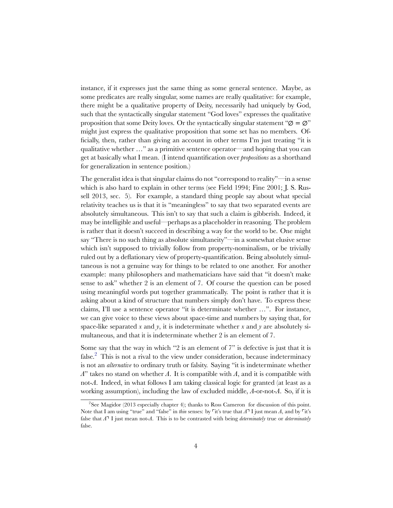instance, if it expresses just the same thing as some general sentence. Maybe, as some predicates are really singular, some names are really qualitative: for example, there might be a qualitative property of Deity, necessarily had uniquely by God, such that the syntactically singular statement "God loves" expresses the qualitative proposition that some Deity loves. Or the syntactically singular statement " $\emptyset = \emptyset$ " might just express the qualitative proposition that some set has no members. Officially, then, rather than giving an account in other terms I'm just treating "it is qualitative whether …" as a primitive sentence operator—and hoping that you can get at basically what I mean. (I intend quantification over *propositions* as a shorthand for generalization in sentence position.)

The generalist idea is that singular claims do not "correspond to reality"—in a sense which is also hard to explain in other terms (see Field 1994; Fine 2001; J. S. Russell 2013, sec. 5). For example, a standard thing people say about what special relativity teaches us is that it is "meaningless" to say that two separated events are absolutely simultaneous. This isn't to say that such a claim is gibberish. Indeed, it may be intelligible and useful—perhaps as a placeholder in reasoning. The problem is rather that it doesn't succeed in describing a way for the world to be. One might say "There is no such thing as absolute simultaneity"—in a somewhat elusive sense which isn't supposed to trivially follow from property-nominalism, or be trivially ruled out by a deflationary view of property-quantification. Being absolutely simultaneous is not a genuine way for things to be related to one another. For another example: many philosophers and mathematicians have said that "it doesn't make sense to ask" whether 2 is an element of 7. Of course the question can be posed using meaningful words put together grammatically. The point is rather that it is asking about a kind of structure that numbers simply don't have. To express these claims, I'll use a sentence operator "it is determinate whether …". For instance, we can give voice to these views about space-time and numbers by saying that, for space-like separated *x* and *y*, it is indeterminate whether *x* and *y* are absolutely simultaneous, and that it is indeterminate whether 2 is an element of 7.

Some say that the way in which "2 is an element of 7" is defective is just that it is false. $^{2}$  $^{2}$  $^{2}$  This is not a rival to the view under consideration, because indeterminacy is not an *alternative* to ordinary truth or falsity. Saying "it is indeterminate whether *A*" takes no stand on whether *A*. It is compatible with *A*, and it is compatible with not-*A*. Indeed, in what follows I am taking classical logic for granted (at least as a working assumption), including the law of excluded middle, *A*-or-not-*A*. So, if it is

<span id="page-3-0"></span><sup>&</sup>lt;sup>2</sup>See Magidor (2013 especially chapter 4); thanks to Ross Cameron for discussion of this point. Note that I am using "true" and "false" in *thin* senses: by 「it's true that  $A<sup>7</sup>$  I just mean  $A$ , and by 「it's false that  $A<sup>7</sup>$  I just mean not- $A$ . This is to be contrasted with being *determinately* true or *determinately* false.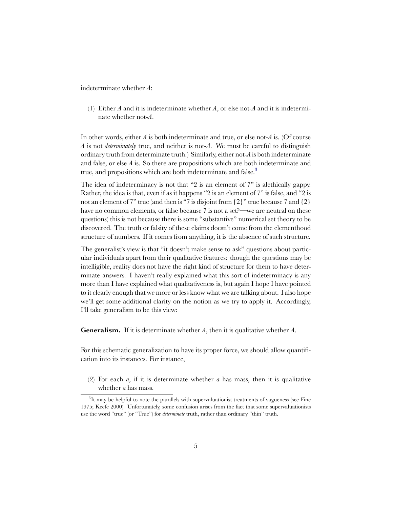indeterminate whether *A*:

(1) Either *A* and it is indeterminate whether *A*, or else not-*A* and it is indeterminate whether not-*A*.

In other words, either *A* is both indeterminate and true, or else not-*A* is. (Of course *A* is not *determinately* true, and neither is not-*A*. We must be careful to distinguish ordinary truth from determinate truth.) Similarly, either not-*A* is both indeterminate and false, or else *A* is. So there are propositions which are both indeterminate and true, and propositions which are both indeterminate and false.<sup>[3](#page-4-0)</sup>

The idea of indeterminacy is not that "2 is an element of 7" is alethically gappy. Rather, the idea is that, even if as it happens "2 is an element of 7" is false, and "2 is not an element of  $7$ " true (and then is "7 is disjoint from  $\{2\}$ " true because 7 and  $\{2\}$ have no common elements, or false because 7 is not a set?—we are neutral on these questions) this is not because there is some "substantive" numerical set theory to be discovered. The truth or falsity of these claims doesn't come from the elementhood structure of numbers. If it comes from anything, it is the absence of such structure.

The generalist's view is that "it doesn't make sense to ask" questions about particular individuals apart from their qualitative features: though the questions may be intelligible, reality does not have the right kind of structure for them to have determinate answers. I haven't really explained what this sort of indeterminacy is any more than I have explained what qualitativeness is, but again I hope I have pointed to it clearly enough that we more or less know what we are talking about. I also hope we'll get some additional clarity on the notion as we try to apply it. Accordingly, I'll take generalism to be this view:

**Generalism.** If it is determinate whether *A*, then it is qualitative whether *A*.

For this schematic generalization to have its proper force, we should allow quantification into its instances. For instance,

(2) For each *a*, if it is determinate whether *a* has mass, then it is qualitative whether *a* has mass.

<span id="page-4-0"></span> ${}^{3}$ It may be helpful to note the parallels with supervaluationist treatments of vagueness (see Fine 1975; Keefe 2000). Unfortunately, some confusion arises from the fact that some supervaluationists use the word "true" (or "True") for *determinate* truth, rather than ordinary "thin" truth.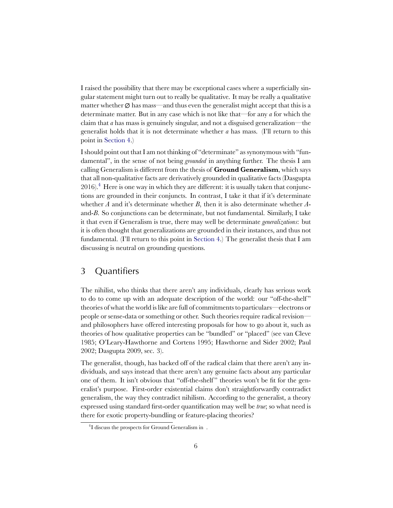I raised the possibility that there may be exceptional cases where a superficially singular statement might turn out to really be qualitative. It may be really a qualitative matter whether  $Ø$  has mass—and thus even the generalist might accept that this is a determinate matter. But in any case which is not like that—for any *a* for which the claim that *a* has mass is genuinely singular, and not a disguised generalization—the generalist holds that it is not determinate whether *a* has mass. (I'll return to this point in [Section 4](#page-8-0).)

I should point out that I am not thinking of "determinate" as synonymous with "fundamental", in the sense of not being *grounded* in anything further. The thesis I am calling Generalism is different from the thesis of **Ground Generalism**, which says that all non-qualitative facts are derivatively grounded in qualitative facts (Dasgupta 2016). $4$  Here is one way in which they are different: it is usually taken that conjunctions are grounded in their conjuncts. In contrast, I take it that if it's determinate whether *A* and it's determinate whether *B*, then it is also determinate whether *A*and-*B*. So conjunctions can be determinate, but not fundamental. Similarly, I take it that even if Generalism is true, there may well be determinate *generalizations*: but it is often thought that generalizations are grounded in their instances, and thus not fundamental. (I'll return to this point in [Section 4.](#page-8-0)) The generalist thesis that I am discussing is neutral on grounding questions.

# 3 Quantifiers

The nihilist, who thinks that there aren't any individuals, clearly has serious work to do to come up with an adequate description of the world: our "off-the-shelf " theories of what the world is like are full of commitments to particulars—electrons or people or sense-data or something or other. Such theories require radical revision and philosophers have offered interesting proposals for how to go about it, such as theories of how qualitative properties can be "bundled" or "placed" (see van Cleve 1985; O'Leary-Hawthorne and Cortens 1995; Hawthorne and Sider 2002; Paul 2002; Dasgupta 2009, sec. 3).

The generalist, though, has backed off of the radical claim that there aren't any individuals, and says instead that there aren't any genuine facts about any particular one of them. It isn't obvious that "off-the-shelf " theories won't be fit for the generalist's purpose. First-order existential claims don't straightforwardly contradict generalism, the way they contradict nihilism. According to the generalist, a theory expressed using standard first-order quantification may well be *true*; so what need is there for exotic property-bundling or feature-placing theories?

<span id="page-5-0"></span><sup>4</sup> I discuss the prospects for Ground Generalism in .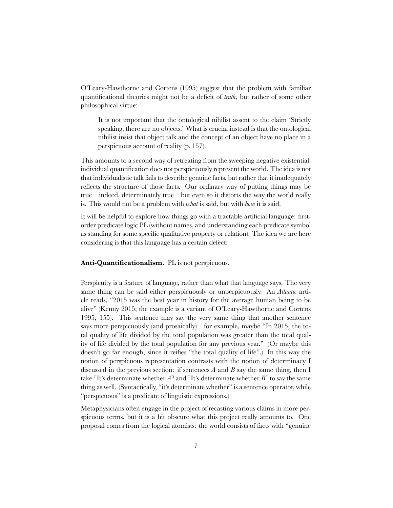O'Leary-Hawthorne and Cortens (1995) suggest that the problem with familiar quantificational theories might not be a deficit of *truth*, but rather of some other philosophical virtue:

It is not important that the ontological nihilist assent to the claim 'Strictly speaking, there are no objects.' What is crucial instead is that the ontological nihilist insist that object talk and the concept of an object have no place in a perspicuous account of reality (p. 157).

This amounts to a second way of retreating from the sweeping negative existential: individual quantification does not perspicuously represent the world. The idea is not that individualistic talk fails to describe genuine facts, but rather that it inadequately reflects the structure of those facts. Our ordinary way of putting things may be true—indeed, determinately true—but even so it distorts the way the world really is. This would not be a problem with *what* is said, but with *how* it is said.

It will be helpful to explore how things go with a tractable artificial language: firstorder predicate logic PL (without names, and understanding each predicate symbol as standing for some specific qualitative property or relation). The idea we are here considering is that this language has a certain defect:

**Anti-Quantificationalism.** PL is not perspicuous.

Perspicuity is a feature of language, rather than what that language says. The very same thing can be said either perspicuously or unperpicuously. An *Atlantic* article reads, "2015 was the best year in history for the average human being to be alive" (Kenny 2015; the example is a variant of O'Leary-Hawthorne and Cortens 1995, 155). This sentence may say the very same thing that another sentence says more perspicuously (and prosaically)—for example, maybe "In 2015, the total quality of life divided by the total population was greater than the total quality of life divided by the total population for any previous year." (Or maybe this doesn't go far enough, since it reifies "the total quality of life".) In this way the notion of perspicuous representation contrasts with the notion of determinacy I discussed in the previous section: if sentences *A* and *B* say the same thing, then I take  $\Gamma$ It's determinate whether  $A^{\dagger}$  and  $\Gamma$ It's determinate whether  $B^{\dagger}$  to say the same thing as well. (Syntactically, "it's determinate whether" is a sentence operator, while "perspicuous" is a predicate of linguistic expressions.)

Metaphysicians often engage in the project of recasting various claims in more perspicuous terms, but it is a bit obscure what this project really amounts to. One proposal comes from the logical atomists: the world consists of facts with "genuine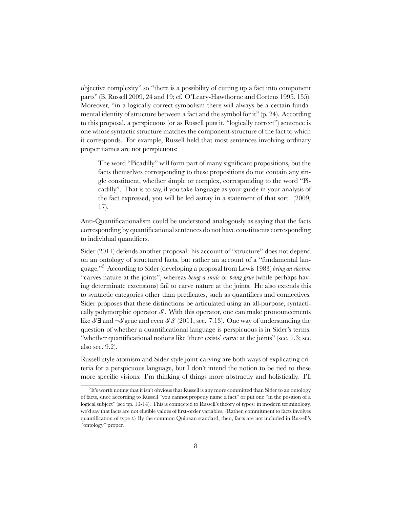objective complexity" so "there is a possibility of cutting up a fact into component parts" (B. Russell 2009, 24 and 19; cf. O'Leary-Hawthorne and Cortens 1995, 155). Moreover, "in a logically correct symbolism there will always be a certain fundamental identity of structure between a fact and the symbol for it" (p. 24). According to this proposal, a perspicuous (or as Russell puts it, "logically correct") sentence is one whose syntactic structure matches the component-structure of the fact to which it corresponds. For example, Russell held that most sentences involving ordinary proper names are not perspicuous:

The word "Picadilly" will form part of many significant propositions, but the facts themselves corresponding to these propositions do not contain any single constituent, whether simple or complex, corresponding to the word "Picadilly". That is to say, if you take language as your guide in your analysis of the fact expressed, you will be led astray in a statement of that sort. (2009, 17).

Anti-Quantificationalism could be understood analogously as saying that the facts corresponding by quantificational sentences do not have constituents corresponding to individual quantifiers.

Sider (2011) defends another proposal: his account of "structure" does not depend on an ontology of structured facts, but rather an account of a "fundamental language."[5](#page-7-0) According to Sider (developing a proposal from Lewis 1983) *being an electron* "carves nature at the joints", whereas *being a smile* or *being grue* (while perhaps having determinate extensions) fail to carve nature at the joints. He also extends this to syntactic categories other than predicates, such as quantifiers and connectives. Sider proposes that these distinctions be articulated using an all-purpose, syntactically polymorphic operator  $\mathcal S$ . With this operator, one can make pronouncements like  $\delta$ ∃ and ¬ $\delta$  grue and even  $\delta\delta$  (2011, sec. 7.13). One way of understanding the question of whether a quantificational language is perspicuous is in Sider's terms: "whether quantificational notions like 'there exists' carve at the joints" (sec. 1.3; see also sec. 9.2).

Russell-style atomism and Sider-style joint-carving are both ways of explicating criteria for a perspicuous language, but I don't intend the notion to be tied to these more specific visions: I'm thinking of things more abstractly and holistically. I'll

<span id="page-7-0"></span><sup>&</sup>lt;sup>5</sup>It's worth noting that it isn't obvious that Russell is any more committed than Sider to an ontology of facts, since according to Russell "you cannot properly name a fact" or put one "in the position of a logical subject" (see pp. 13-14). This is connected to Russell's theory of types: in modern terminology, we'd say that facts are not eligible values of first-order variables. (Rather, commitment to facts involves quantification of type *t*.) By the common Quinean standard, then, facts are not included in Russell's "ontology" proper.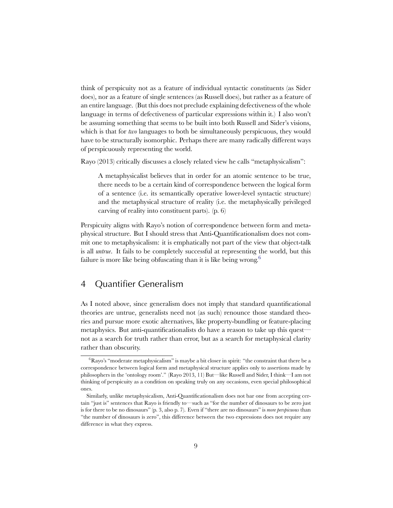think of perspicuity not as a feature of individual syntactic constituents (as Sider does), nor as a feature of single sentences (as Russell does), but rather as a feature of an entire language. (But this does not preclude explaining defectiveness of the whole language in terms of defectiveness of particular expressions within it.) I also won't be assuming something that seems to be built into both Russell and Sider's visions, which is that for *two* languages to both be simultaneously perspicuous, they would have to be structurally isomorphic. Perhaps there are many radically different ways of perspicuously representing the world.

Rayo (2013) critically discusses a closely related view he calls "metaphysicalism":

A metaphysicalist believes that in order for an atomic sentence to be true, there needs to be a certain kind of correspondence between the logical form of a sentence (i.e. its semantically operative lower-level syntactic structure) and the metaphysical structure of reality (i.e. the metaphysically privileged carving of reality into constituent parts). (p. 6)

Perspicuity aligns with Rayo's notion of correspondence between form and metaphysical structure. But I should stress that Anti-Quantificationalism does not commit one to metaphysicalism: it is emphatically not part of the view that object-talk is all *untrue*. It fails to be completely successful at representing the world, but this failure is more like being obfuscating than it is like being wrong.<sup>[6](#page-8-1)</sup>

# <span id="page-8-0"></span>4 Quantifier Generalism

As I noted above, since generalism does not imply that standard quantificational theories are untrue, generalists need not (as such) renounce those standard theories and pursue more exotic alternatives, like property-bundling or feature-placing metaphysics. But anti-quantificationalists do have a reason to take up this quest not as a search for truth rather than error, but as a search for metaphysical clarity rather than obscurity.

<span id="page-8-1"></span> ${}^{6}$ Rayo's "moderate metaphysicalism" is maybe a bit closer in spirit: "the constraint that there be a correspondence between logical form and metaphysical structure applies only to assertions made by philosophers in the 'ontology room'." (Rayo 2013, 11) But—like Russell and Sider, I think—I am not thinking of perspicuity as a condition on speaking truly on any occasions, even special philosophical ones.

Similarly, unlike metaphysicalism, Anti-Quantificationalism does not bar one from accepting certain "just is" sentences that Rayo is friendly to—such as "for the number of dinosaurs to be zero just is for there to be no dinosaurs" (p. 3, also p. 7). Even if "there are no dinosaurs" is *more perspicuous* than "the number of dinosaurs is zero", this difference between the two expressions does not require any difference in what they express.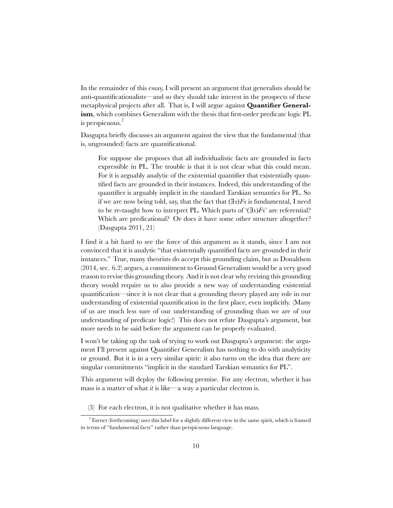In the remainder of this essay, I will present an argument that generalists should be anti-quantificationalists—and so they should take interest in the prospects of these metaphysical projects after all. That is, I will argue against **Quantifier Generalism**, which combines Generalism with the thesis that first-order predicate logic PL is perspicuous.<sup>[7](#page-9-0)</sup>

Dasgupta briefly discusses an argument against the view that the fundamental (that is, ungrounded) facts are quantificational.

For suppose she proposes that all individualistic facts are grounded in facts expressible in PL. The trouble is that it is not clear what this could mean. For it is arguably analytic of the existential quantifier that existentially quantified facts are grounded in their instances. Indeed, this understanding of the quantifier is arguably implicit in the standard Tarskian semantics for PL. So if we are now being told, say, that the fact that (∃*x*)*Fx* is fundamental, I need to be re-taught how to interpret PL. Which parts of '(∃*x*)*Fx*' are referential? Which are predicational? Or does it have some other structure altogether? (Dasgupta 2011, 21)

I find it a bit hard to see the force of this argument as it stands, since I am not convinced that it is analytic "that existentially quantified facts are grounded in their instances." True, many theorists do accept this grounding claim, but as Donaldson (2014, sec. 6.2) argues, a commitment to Ground Generalism would be a very good reason to revise this grounding theory. And it is not clear why revising this grounding theory would require us to also provide a new way of understanding existential quantification—since it is not clear that a grounding theory played any role in our understanding of existential quantification in the first place, even implicitly. (Many of us are much less sure of our understanding of grounding than we are of our understanding of predicate logic!) This does not refute Dasgupta's argument, but more needs to be said before the argument can be properly evaluated.

I won't be taking up the task of trying to work out Dasgupta's argument: the argument I'll present against Quantifier Generalism has nothing to do with analyticity or ground. But it is in a very similar spirit: it also turns on the idea that there are singular commitments "implicit in the standard Tarskian semantics for PL".

This argument will deploy the following premise. For any electron, whether it has mass is a matter of what *it* is like—a way a particular electron is.

<span id="page-9-0"></span>(3) For each electron, it is not qualitative whether it has mass.

 $7$ Turner (forthcoming) uses this label for a slightly different view in the same spirit, which is framed in terms of "fundamental facts" rather than perspicuous language.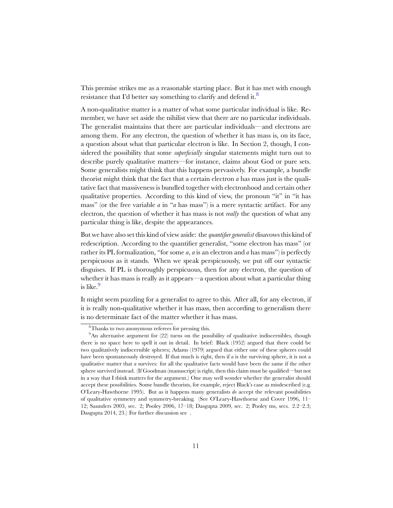This premise strikes me as a reasonable starting place. But it has met with enough resistance that I'd better say something to clarify and defend it.<sup>[8](#page-10-0)</sup>

A non-qualitative matter is a matter of what some particular individual is like. Remember, we have set aside the nihilist view that there are no particular individuals. The generalist maintains that there are particular individuals—and electrons are among them. For any electron, the question of whether it has mass is, on its face, a question about what that particular electron is like. In Section 2, though, I considered the possibility that some *superficially* singular statements might turn out to describe purely qualitative matters—for instance, claims about God or pure sets. Some generalists might think that this happens pervasively. For example, a bundle theorist might think that the fact that a certain electron  $a$  has mass just is the qualitative fact that massiveness is bundled together with electronhood and certain other qualitative properties. According to this kind of view, the pronoun "it" in "it has mass" (or the free variable *a* in "*a* has mass") is a mere syntactic artifact. For any electron, the question of whether it has mass is not *really* the question of what any particular thing is like, despite the appearances.

But we have also set this kind of view aside: the *quantifier generalist* disavows this kind of redescription. According to the quantifier generalist, "some electron has mass" (or rather its PL formalization, "for some *a*, *a* is an electron and *a* has mass") is perfectly perspicuous as it stands. When we speak perspicuously, we put off our syntactic disguises. If PL is thoroughly perspicuous, then for any electron, the question of whether it has mass is really as it appears—a question about what a particular thing is like. $9$ 

It might seem puzzling for a generalist to agree to this. After all, for any electron, if it is really non-qualitative whether it has mass, then according to generalism there is no determinate fact of the matter whether it has mass.

<span id="page-10-1"></span><span id="page-10-0"></span><sup>&</sup>lt;sup>8</sup>Thanks to two anonymous referees for pressing this.

 $9^9$ An alternative argument for  $(22)$  turns on the possibility of qualitative indiscernibles, though there is no space here to spell it out in detail. In brief: Black (1952) argued that there could be two qualitatively indiscernible spheres; Adams (1979) argued that either one of these spheres could have been spontaneously destroyed. If that much is right, then if *a* is the surviving sphere, it is not a qualitative matter that *a* survives: for all the qualitative facts would have been the same if the other sphere survived instead. (If Goodman (manuscript) is right, then this claim must be qualified—but not in a way that I think matters for the argument.) One may well wonder whether the generalist should accept these possibilities. Some bundle theorists, for example, reject Black's case as misdescribed (e.g. O'Leary-Hawthorne 1995). But as it happens many generalists *do* accept the relevant possibilities of qualitative symmetry and symmetry-breaking. (See O'Leary-Hawthorne and Cover 1996, 11– 12; Saunders 2003, sec. 2; Pooley 2006, 17–18; Dasgupta 2009, sec. 2; Pooley ms, secs. 2.2–2.3; Dasgupta 2014, 23.) For further discussion see .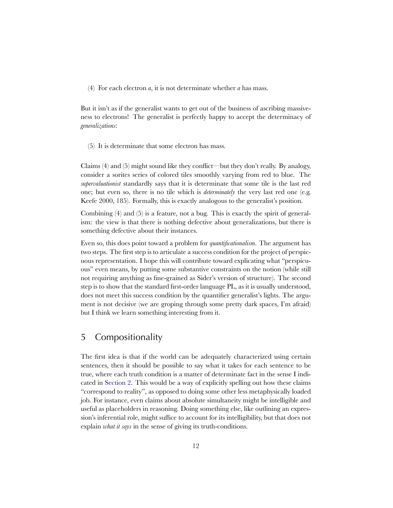(4) For each electron *a*, it is not determinate whether *a* has mass.

But it isn't as if the generalist wants to get out of the business of ascribing massiveness to electrons! The generalist is perfectly happy to accept the determinacy of *generalizations*:

(5) It is determinate that some electron has mass.

Claims (4) and (5) might sound like they conflict—but they don't really. By analogy, consider a sorites series of colored tiles smoothly varying from red to blue. The *supervaluationist* standardly says that it is determinate that some tile is the last red one; but even so, there is no tile which is *determinately* the very last red one (e.g. Keefe 2000, 185). Formally, this is exactly analogous to the generalist's position.

Combining (4) and (5) is a feature, not a bug. This is exactly the spirit of generalism: the view is that there is nothing defective about generalizations, but there is something defective about their instances.

Even so, this does point toward a problem for *quantificationalism*. The argument has two steps. The first step is to articulate a success condition for the project of perspicuous representation. I hope this will contribute toward explicating what "perspicuous" even means, by putting some substantive constraints on the notion (while still not requiring anything as fine-grained as Sider's version of structure). The second step is to show that the standard first-order language PL, as it is usually understood, does not meet this success condition by the quantifier generalist's lights. The argument is not decisive (we are groping through some pretty dark spaces, I'm afraid) but I think we learn something interesting from it.

# 5 Compositionality

The first idea is that if the world can be adequately characterized using certain sentences, then it should be possible to say what it takes for each sentence to be true, where each truth condition is a matter of determinate fact in the sense I indicated in [Section 2](#page-2-1). This would be a way of explicitly spelling out how these claims "correspond to reality", as opposed to doing some other less metaphysically loaded job. For instance, even claims about absolute simultaneity might be intelligible and useful as placeholders in reasoning. Doing something else, like outlining an expression's inferential role, might suffice to account for its intelligibility, but that does not explain *what it says* in the sense of giving its truth-conditions.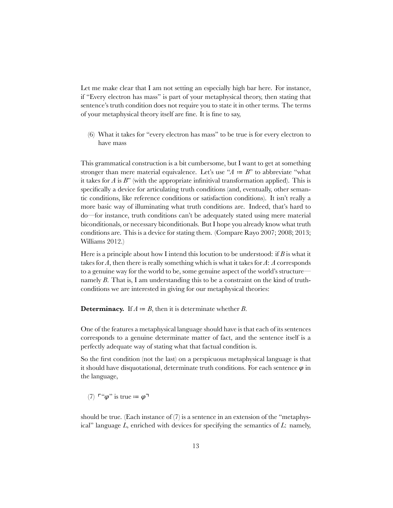Let me make clear that I am not setting an especially high bar here. For instance, if "Every electron has mass" is part of your metaphysical theory, then stating that sentence's truth condition does not require you to state it in other terms. The terms of your metaphysical theory itself are fine. It is fine to say,

(6) What it takes for "every electron has mass" to be true is for every electron to have mass

This grammatical construction is a bit cumbersome, but I want to get at something stronger than mere material equivalence. Let's use " $A := B$ " to abbreviate "what it takes for *A* is *B*" (with the appropriate infinitival transformation applied). This is specifically a device for articulating truth conditions (and, eventually, other semantic conditions, like reference conditions or satisfaction conditions). It isn't really a more basic way of illuminating what truth conditions are. Indeed, that's hard to do—for instance, truth conditions can't be adequately stated using mere material biconditionals, or necessary biconditionals. But I hope you already know what truth conditions are. This is a device for stating them. (Compare Rayo 2007; 2008; 2013; Williams 2012.)

Here is a principle about how I intend this locution to be understood: if *B* is what it takes for *A*, then there is really something which is what it takes for *A*: *A* corresponds to a genuine way for the world to be, some genuine aspect of the world's structure namely *B*. That is, I am understanding this to be a constraint on the kind of truthconditions we are interested in giving for our metaphysical theories:

**Determinacy.** If  $A := B$ , then it is determinate whether *B*.

One of the features a metaphysical language should have is that each of its sentences corresponds to a genuine determinate matter of fact, and the sentence itself is a perfectly adequate way of stating what that factual condition is.

So the first condition (not the last) on a perspicuous metaphysical language is that it should have disquotational, determinate truth conditions. For each sentence  $\varphi$  in the language,

(7)  $\Gamma$ " $\varphi$ " is true  $:= \varphi$ 

should be true. (Each instance of (7) is a sentence in an extension of the "metaphysical" language *L*, enriched with devices for specifying the semantics of *L*: namely,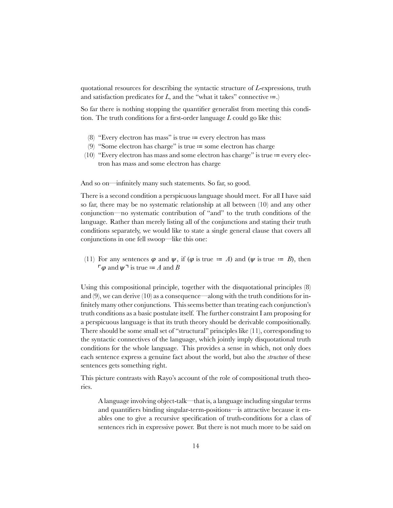quotational resources for describing the syntactic structure of *L*-expressions, truth and satisfaction predicates for  $L$ , and the "what it takes" connective  $:=$ .)

So far there is nothing stopping the quantifier generalist from meeting this condition. The truth conditions for a first-order language *L* could go like this:

- (8) "Every electron has mass" is true ≔ every electron has mass
- (9) "Some electron has charge" is true ≔ some electron has charge
- (10) "Every electron has mass and some electron has charge" is true ≔ every electron has mass and some electron has charge

And so on—infinitely many such statements. So far, so good.

There is a second condition a perspicuous language should meet. For all I have said so far, there may be no systematic relationship at all between (10) and any other conjunction—no systematic contribution of "and" to the truth conditions of the language. Rather than merely listing all of the conjunctions and stating their truth conditions separately, we would like to state a single general clause that covers all conjunctions in one fell swoop—like this one:

(11) For any sentences  $\varphi$  and  $\psi$ , if ( $\varphi$  is true := *A*) and ( $\psi$  is true := *B*), then  $\lceil \varphi \rceil$  and  $\psi \rceil$  is true  $:= A$  and B

Using this compositional principle, together with the disquotational principles (8) and  $(9)$ , we can derive  $(10)$  as a consequence—along with the truth conditions for infinitely many other conjunctions. This seems better than treating each conjunction's truth conditions as a basic postulate itself. The further constraint I am proposing for a perspicuous language is that its truth theory should be derivable compositionally. There should be some small set of "structural" principles like (11), corresponding to the syntactic connectives of the language, which jointly imply disquotational truth conditions for the whole language. This provides a sense in which, not only does each sentence express a genuine fact about the world, but also the *structure* of these sentences gets something right.

This picture contrasts with Rayo's account of the role of compositional truth theories.

A language involving object-talk—that is, a language including singular terms and quantifiers binding singular-term-positions—is attractive because it enables one to give a recursive specification of truth-conditions for a class of sentences rich in expressive power. But there is not much more to be said on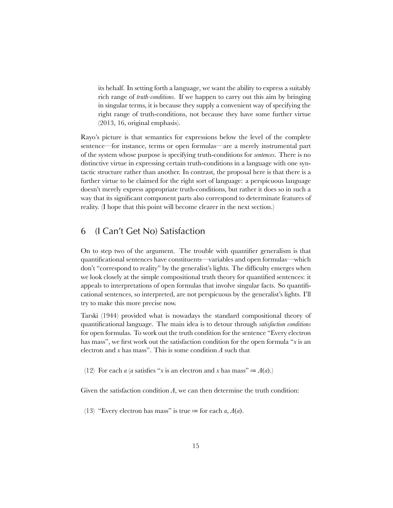its behalf. In setting forth a language, we want the ability to express a suitably rich range of *truth-conditions*. If we happen to carry out this aim by bringing in singular terms, it is because they supply a convenient way of specifying the right range of truth-conditions, not because they have some further virtue (2013, 16, original emphasis).

Rayo's picture is that semantics for expressions below the level of the complete sentence—for instance, terms or open formulas—are a merely instrumental part of the system whose purpose is specifying truth-conditions for *sentences*. There is no distinctive virtue in expressing certain truth-conditions in a language with one syntactic structure rather than another. In contrast, the proposal here is that there is a further virtue to be claimed for the right sort of language: a perspicuous language doesn't merely express appropriate truth-conditions, but rather it does so in such a way that its significant component parts also correspond to determinate features of reality. (I hope that this point will become clearer in the next section.)

# 6 (I Can't Get No) Satisfaction

On to step two of the argument. The trouble with quantifier generalism is that quantificational sentences have constituents—variables and open formulas—which don't "correspond to reality" by the generalist's lights. The difficulty emerges when we look closely at the simple compositional truth theory for quantified sentences: it appeals to interpretations of open formulas that involve singular facts. So quantificational sentences, so interpreted, are not perspicuous by the generalist's lights. I'll try to make this more precise now.

Tarski (1944) provided what is nowadays the standard compositional theory of quantificational language. The main idea is to detour through *satisfaction conditions* for open formulas. To work out the truth condition for the sentence "Every electron has mass", we first work out the satisfaction condition for the open formula "*x* is an electron and *x* has mass". This is some condition *A* such that

(12) For each *a* (*a* satisfies "*x* is an electron and *x* has mass" =  $A(a)$ .)

Given the satisfaction condition *A*, we can then determine the truth condition:

(13) "Every electron has mass" is true ≔ for each *a*, *A*(*a*).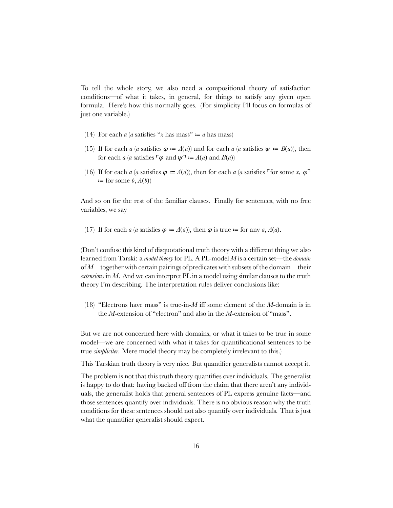To tell the whole story, we also need a compositional theory of satisfaction conditions—of what it takes, in general, for things to satisfy any given open formula. Here's how this normally goes. (For simplicity I'll focus on formulas of just one variable.)

- (14) For each *a* (*a* satisfies "*x* has mass"  $:= a$  has mass)
- (15) If for each *a* (*a* satisfies  $\varphi := A(a)$ ) and for each *a* (*a* satisfies  $\psi := B(a)$ ), then for each *a* (*a* satisfies  $\lceil \varphi \rceil$  and  $\psi \rceil := A(a)$  and  $B(a)$ )
- (16) If for each *a* (*a* satisfies  $\varphi := A(a)$ ), then for each *a* (*a* satisfies  $\Gamma$  for some *x*,  $\varphi$  $:=$  for some  $b, A(b)$

And so on for the rest of the familiar clauses. Finally for sentences, with no free variables, we say

(17) If for each *a* (*a* satisfies  $\varphi := A(a)$ ), then  $\varphi$  is true = for any *a*, *A*(*a*).

(Don't confuse this kind of disquotational truth theory with a different thing we also learned from Tarski: a *model theory* for PL. A PL-model *M* is a certain set—the *domain* of *M*—together with certain pairings of predicates with subsets of the domain—their *extensions* in *M*. And we can interpret PL in a model using similar clauses to the truth theory I'm describing. The interpretation rules deliver conclusions like:

(18) "Electrons have mass" is true-in-*M* iff some element of the *M*-domain is in the *M*-extension of "electron" and also in the *M*-extension of "mass".

But we are not concerned here with domains, or what it takes to be true in some model—we are concerned with what it takes for quantificational sentences to be true *simpliciter*. Mere model theory may be completely irrelevant to this.)

This Tarskian truth theory is very nice. But quantifier generalists cannot accept it.

The problem is not that this truth theory quantifies over individuals. The generalist is happy to do that: having backed off from the claim that there aren't any individuals, the generalist holds that general sentences of PL express genuine facts—and those sentences quantify over individuals. There is no obvious reason why the truth conditions for these sentences should not also quantify over individuals. That is just what the quantifier generalist should expect.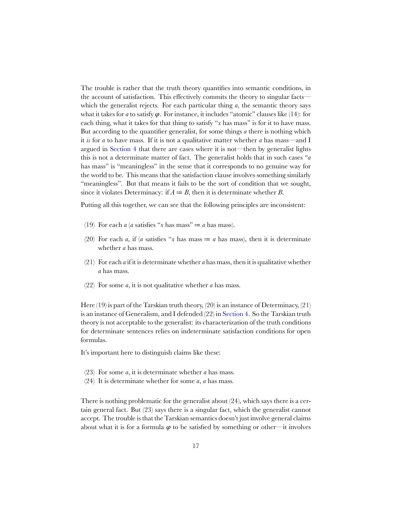The trouble is rather that the truth theory quantifies into semantic conditions, in the account of satisfaction. This effectively commits the theory to singular facts which the generalist rejects. For each particular thing *a*, the semantic theory says what it takes for *a* to satisfy  $\varphi$ . For instance, it includes "atomic" clauses like (14): for each thing, what it takes for that thing to satisfy "*x* has mass" is for it to have mass. But according to the quantifier generalist, for some things *a* there is nothing which it *is* for *a* to have mass. If it is not a qualitative matter whether *a* has mass—and I argued in [Section 4](#page-8-0) that there are cases where it is not—then by generalist lights this is not a determinate matter of fact. The generalist holds that in such cases "*a* has mass" is "meaningless" in the sense that it corresponds to no genuine way for the world to be. This means that the satisfaction clause involves something similarly "meaningless". But that means it fails to be the sort of condition that we sought, since it violates Determinacy: if  $A := B$ , then it is determinate whether *B*.

Putting all this together, we can see that the following principles are inconsistent:

- (19) For each *a* (*a* satisfies "*x* has mass"  $:= a$  has mass).
- (20) For each *a*, if (*a* satisfies "*x* has mass  $:= a$  has mass), then it is determinate whether *a* has mass.
- (21) For each *a* if it is determinate whether *a* has mass, then it is qualitative whether *a* has mass.
- (22) For some *a*, it is not qualitative whether *a* has mass.

Here (19) is part of the Tarskian truth theory, (20) is an instance of Determinacy, (21) is an instance of Generalism, and I defended (22) in [Section 4.](#page-8-0) So the Tarskian truth theory is not acceptable to the generalist: its characterization of the truth conditions for determinate sentences relies on indeterminate satisfaction conditions for open formulas.

It's important here to distinguish claims like these:

- (23) For some *a*, it is determinate whether *a* has mass.
- (24) It is determinate whether for some *a*, *a* has mass.

There is nothing problematic for the generalist about (24), which says there is a certain general fact. But (23) says there is a singular fact, which the generalist cannot accept. The trouble is that the Tarskian semantics doesn't just involve general claims about what it is for a formula  $\varphi$  to be satisfied by something or other—it involves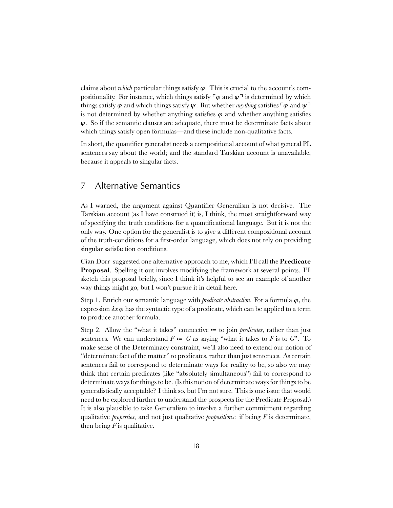claims about *which* particular things satisfy  $\varphi$ . This is crucial to the account's compositionality. For instance, which things satisfy  $\lceil \varphi \rceil$  and  $\psi \rceil$  is determined by which things satisfy  $\varphi$  and which things satisfy  $\psi$ . But whether *anything* satisfies  $\lceil \varphi \rceil$  and  $\psi$ <sup> $\lceil \varphi \rceil$ </sup> is not determined by whether anything satisfies  $\varphi$  and whether anything satisfies  $\psi$ . So if the semantic clauses are adequate, there must be determinate facts about which things satisfy open formulas—and these include non-qualitative facts.

In short, the quantifier generalist needs a compositional account of what general PL sentences say about the world; and the standard Tarskian account is unavailable, because it appeals to singular facts.

# 7 Alternative Semantics

As I warned, the argument against Quantifier Generalism is not decisive. The Tarskian account (as I have construed it) is, I think, the most straightforward way of specifying the truth conditions for a quantificational language. But it is not the only way. One option for the generalist is to give a different compositional account of the truth-conditions for a first-order language, which does not rely on providing singular satisfaction conditions.

Cian Dorr suggested one alternative approach to me, which I'll call the **Predicate Proposal**. Spelling it out involves modifying the framework at several points. I'll sketch this proposal briefly, since I think it's helpful to see an example of another way things might go, but I won't pursue it in detail here.

Step 1. Enrich our semantic language with *predicate abstraction*. For a formula  $\varphi$ , the expression  $\lambda x \varphi$  has the syntactic type of a predicate, which can be applied to a term to produce another formula.

Step 2. Allow the "what it takes" connective ≔ to join *predicates*, rather than just sentences. We can understand  $F = G$  as saying "what it takes to  $F$  is to  $G$ ". To make sense of the Determinacy constraint, we'll also need to extend our notion of "determinate fact of the matter" to predicates, rather than just sentences. As certain sentences fail to correspond to determinate ways for reality to be, so also we may think that certain predicates (like "absolutely simultaneous") fail to correspond to determinate ways for things to be. (Is this notion of determinate ways for things to be generalistically acceptable? I think so, but I'm not sure. This is one issue that would need to be explored further to understand the prospects for the Predicate Proposal.) It is also plausible to take Generalism to involve a further commitment regarding qualitative *properties*, and not just qualitative *propositions*: if being *F* is determinate, then being  $F$  is qualitative.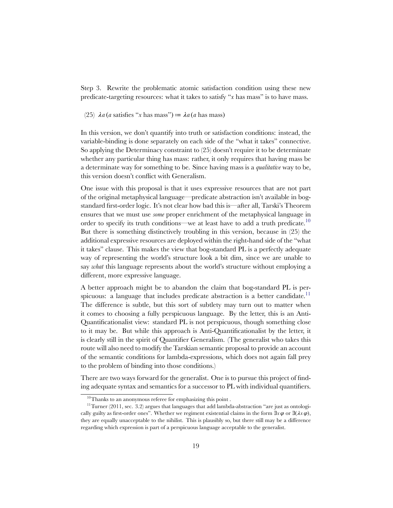Step 3. Rewrite the problematic atomic satisfaction condition using these new predicate-targeting resources: what it takes to satisfy "*x* has mass" is to have mass.

#### (25)  $\lambda a$  (*a* satisfies "*x* has mass") =  $\lambda a$  (*a* has mass)

In this version, we don't quantify into truth or satisfaction conditions: instead, the variable-binding is done separately on each side of the "what it takes" connective. So applying the Determinacy constraint to (25) doesn't require it to be determinate whether any particular thing has mass: rather, it only requires that having mass be a determinate way for something to be. Since having mass is a *qualitative* way to be, this version doesn't conflict with Generalism.

One issue with this proposal is that it uses expressive resources that are not part of the original metaphysical language—predicate abstraction isn't available in bogstandard first-order logic. It's not clear how bad this is—after all, Tarski's Theorem ensures that we must use *some* proper enrichment of the metaphysical language in order to specify its truth conditions—we at least have to add a truth predicate.<sup>[10](#page-18-0)</sup> But there is something distinctively troubling in this version, because in (25) the additional expressive resources are deployed within the right-hand side of the "what it takes" clause. This makes the view that bog-standard PL is a perfectly adequate way of representing the world's structure look a bit dim, since we are unable to say *what* this language represents about the world's structure without employing a different, more expressive language.

A better approach might be to abandon the claim that bog-standard PL is per-spicuous: a language that includes predicate abstraction is a better candidate.<sup>[11](#page-18-1)</sup> The difference is subtle, but this sort of subtlety may turn out to matter when it comes to choosing a fully perspicuous language. By the letter, this is an Anti-Quantificationalist view: standard PL is not perspicuous, though something close to it may be. But while this approach is Anti-Quantificationalist by the letter, it is clearly still in the spirit of Quantifier Generalism. (The generalist who takes this route will also need to modify the Tarskian semantic proposal to provide an account of the semantic conditions for lambda-expressions, which does not again fall prey to the problem of binding into those conditions.)

There are two ways forward for the generalist. One is to pursue this project of finding adequate syntax and semantics for a successor to PL with individual quantifiers.

<span id="page-18-1"></span><span id="page-18-0"></span> $10$ Thanks to an anonymous referee for emphasizing this point.

 $11$ Turner (2011, sec. 3.2) argues that languages that add lambda-abstraction "are just as ontologically guilty as first-order ones". Whether we regiment existential claims in the form  $\exists x \varphi$  or  $\exists (\lambda x \varphi)$ , they are equally unacceptable to the nihilist. This is plausibly so, but there still may be a difference regarding which expression is part of a perspicuous language acceptable to the generalist.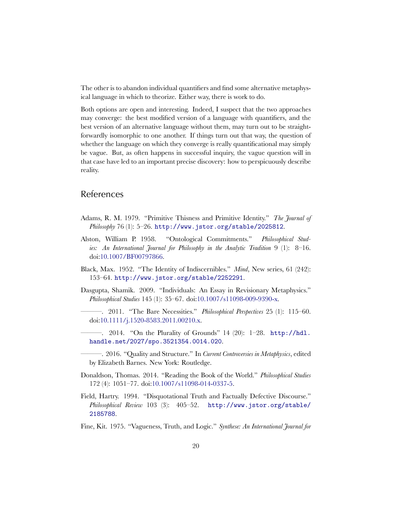The other is to abandon individual quantifiers and find some alternative metaphysical language in which to theorize. Either way, there is work to do.

Both options are open and interesting. Indeed, I suspect that the two approaches may converge: the best modified version of a language with quantifiers, and the best version of an alternative language without them, may turn out to be straightforwardly isomorphic to one another. If things turn out that way, the question of whether the language on which they converge is really quantificational may simply be vague. But, as often happens in successful inquiry, the vague question will in that case have led to an important precise discovery: how to perspicuously describe reality.

# References

- Adams, R. M. 1979. "Primitive Thisness and Primitive Identity." *The Journal of Philosophy* 76 (1): 5–26. <http://www.jstor.org/stable/2025812>.
- Alston, William P. 1958. "Ontological Commitments." *Philosophical Studies: An International Journal for Philosophy in the Analytic Tradition* 9 (1): 8–16. doi[:10.1007/BF00797866.](https://doi.org/10.1007/BF00797866)
- Black, Max. 1952. "The Identity of Indiscernibles." *Mind*, New series, 61 (242): 153–64. <http://www.jstor.org/stable/2252291>.
- Dasgupta, Shamik. 2009. "Individuals: An Essay in Revisionary Metaphysics." *Philosophical Studies* 145 (1): 35–67. doi:[10.1007/s11098-009-9390-x.](https://doi.org/10.1007/s11098-009-9390-x)

———. 2011. "The Bare Necessities." *Philosophical Perspectives* 25 (1): 115–60. doi[:10.1111/j.1520-8583.2011.00210.x](https://doi.org/10.1111/j.1520-8583.2011.00210.x).

 $-$ . 2014. "On the Plurality of Grounds" 14 (20): 1-28. [http://hdl.](http://hdl.handle.net/2027/spo.3521354.0014.020) [handle.net/2027/spo.3521354.0014.020](http://hdl.handle.net/2027/spo.3521354.0014.020).

———. 2016. "Quality and Structure." In *Current Controversies in Metaphysics*, edited by Elizabeth Barnes. New York: Routledge.

- Donaldson, Thomas. 2014. "Reading the Book of the World." *Philosophical Studies* 172 (4): 1051–77. doi:[10.1007/s11098-014-0337-5.](https://doi.org/10.1007/s11098-014-0337-5)
- Field, Hartry. 1994. "Disquotational Truth and Factually Defective Discourse." *Philosophical Review* 103 (3): 405–52. [http://www.jstor.org/stable/](http://www.jstor.org/stable/2185788) [2185788](http://www.jstor.org/stable/2185788).
- Fine, Kit. 1975. "Vagueness, Truth, and Logic." *Synthese: An International Journal for*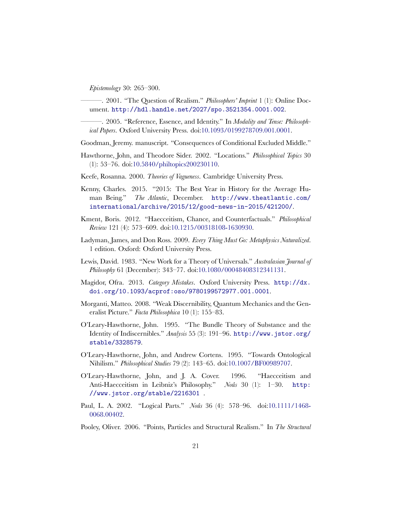*Epistemology* 30: 265–300.

———. 2001. "The Question of Realism." *Philosophers' Imprint* 1 (1): Online Document. <http://hdl.handle.net/2027/spo.3521354.0001.002>.

———. 2005. "Reference, Essence, and Identity." In *Modality and Tense: Philosophical Papers*. Oxford University Press. doi:[10.1093/0199278709.001.0001.](https://doi.org/10.1093/0199278709.001.0001)

Goodman, Jeremy. manuscript. "Consequences of Conditional Excluded Middle."

- Hawthorne, John, and Theodore Sider. 2002. "Locations." *Philosophical Topics* 30 (1): 53–76. doi:[10.5840/philtopics200230110](https://doi.org/10.5840/philtopics200230110).
- Keefe, Rosanna. 2000. *Theories of Vagueness*. Cambridge University Press.
- Kenny, Charles. 2015. "2015: The Best Year in History for the Average Human Being." *The Atlantic*, December. [http://www.theatlantic.com/](http://www.theatlantic.com/international/archive/2015/12/good-news-in-2015/421200/) [international/archive/2015/12/good-news-in-2015/421200/](http://www.theatlantic.com/international/archive/2015/12/good-news-in-2015/421200/).
- Kment, Boris. 2012. "Haecceitism, Chance, and Counterfactuals." *Philosophical Review* 121 (4): 573–609. doi:[10.1215/00318108-1630930.](https://doi.org/10.1215/00318108-1630930)
- Ladyman, James, and Don Ross. 2009. *Every Thing Must Go: Metaphysics Naturalized*. 1 edition. Oxford: Oxford University Press.
- Lewis, David. 1983. "New Work for a Theory of Universals." *Australasian Journal of Philosophy* 61 (December): 343–77. doi:[10.1080/00048408312341131.](https://doi.org/10.1080/00048408312341131)
- Magidor, Ofra. 2013. *Category Mistakes*. Oxford University Press. [http://dx.](http://dx.doi.org/10.1093/acprof:oso/9780199572977.001.0001) [doi.org/10.1093/acprof:oso/9780199572977.001.0001](http://dx.doi.org/10.1093/acprof:oso/9780199572977.001.0001).
- Morganti, Matteo. 2008. "Weak Discernibility, Quantum Mechanics and the Generalist Picture." *Facta Philosophica* 10 (1): 155–83.
- O'Leary-Hawthorne, John. 1995. "The Bundle Theory of Substance and the Identity of Indiscernibles." *Analysis* 55 (3): 191–96. [http://www.jstor.org/](http://www.jstor.org/stable/3328579) [stable/3328579](http://www.jstor.org/stable/3328579).
- O'Leary-Hawthorne, John, and Andrew Cortens. 1995. "Towards Ontological Nihilism." *Philosophical Studies* 79 (2): 143–65. doi:[10.1007/BF00989707](https://doi.org/10.1007/BF00989707).
- O'Leary-Hawthorne, John, and J. A. Cover. 1996. "Haecceitism and Anti-Haecceitism in Leibniz's Philosophy." *Noûs* 30 (1): 1–30. [http:](http://www.jstor.org/stable/2216301‎) [//www.jstor.org/stable/2216301](http://www.jstor.org/stable/2216301‎) .
- Paul, L. A. 2002. "Logical Parts." *Noûs* 36 (4): 578–96. doi[:10.1111/1468-](https://doi.org/10.1111/1468-0068.00402) [0068.00402](https://doi.org/10.1111/1468-0068.00402).
- Pooley, Oliver. 2006. "Points, Particles and Structural Realism." In *The Structural*